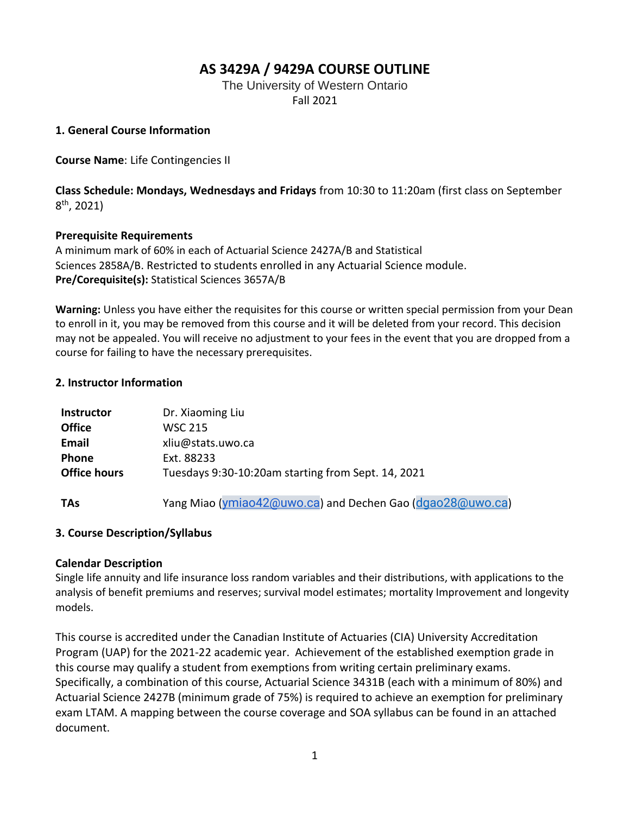### **AS 3429A / 9429A COURSE OUTLINE**

The University of Western Ontario Fall 2021

#### **1. General Course Information**

**Course Name**: Life Contingencies II

**Class Schedule: Mondays, Wednesdays and Fridays** from 10:30 to 11:20am (first class on September 8 th, 2021)

#### **Prerequisite Requirements**

A minimum mark of 60% in each of Actuarial Science 2427A/B and Statistical Sciences 2858A/B. Restricted to students enrolled in any Actuarial Science module. **Pre/Corequisite(s):** Statistical Sciences 3657A/B

**Warning:** Unless you have either the requisites for this course or written special permission from your Dean to enroll in it, you may be removed from this course and it will be deleted from your record. This decision may not be appealed. You will receive no adjustment to your fees in the event that you are dropped from a course for failing to have the necessary prerequisites.

#### **2. Instructor Information**

| <b>Instructor</b>   | Dr. Xiaoming Liu                                          |
|---------------------|-----------------------------------------------------------|
| <b>Office</b>       | <b>WSC 215</b>                                            |
| Email               | xliu@stats.uwo.ca                                         |
| <b>Phone</b>        | Ext. 88233                                                |
| <b>Office hours</b> | Tuesdays 9:30-10:20am starting from Sept. 14, 2021        |
|                     |                                                           |
| <b>TAs</b>          | Yang Miao (ymiao42@uwo.ca) and Dechen Gao (dgao28@uwo.ca) |

#### **3. Course Description/Syllabus**

#### **Calendar Description**

Single life annuity and life insurance loss random variables and their distributions, with applications to the analysis of benefit premiums and reserves; survival model estimates; mortality Improvement and longevity models.

This course is accredited under the Canadian Institute of Actuaries (CIA) University Accreditation Program (UAP) for the 2021-22 academic year. Achievement of the established exemption grade in this course may qualify a student from exemptions from writing certain preliminary exams. Specifically, a combination of this course, Actuarial Science 3431B (each with a minimum of 80%) and Actuarial Science 2427B (minimum grade of 75%) is required to achieve an exemption for preliminary exam LTAM. A mapping between the course coverage and SOA syllabus can be found in an attached document.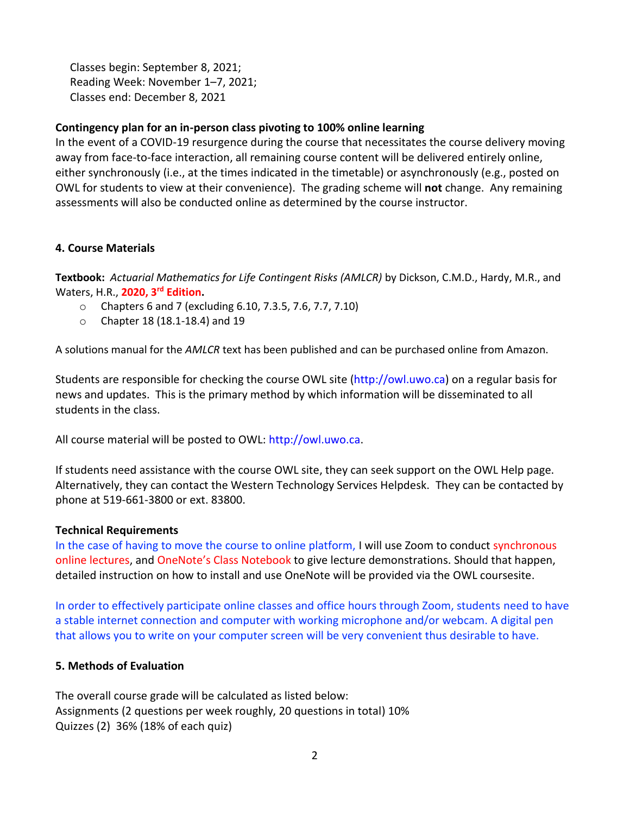Classes begin: September 8, 2021; Reading Week: November 1–7, 2021; Classes end: December 8, 2021

#### **Contingency plan for an in-person class pivoting to 100% online learning**

In the event of a COVID-19 resurgence during the course that necessitates the course delivery moving away from face-to-face interaction, all remaining course content will be delivered entirely online, either synchronously (i.e., at the times indicated in the timetable) or asynchronously (e.g., posted on OWL for students to view at their convenience). The grading scheme will **not** change. Any remaining assessments will also be conducted online as determined by the course instructor.

#### **4. Course Materials**

**Textbook:** *Actuarial Mathematics for Life Contingent Risks (AMLCR)* by Dickson, C.M.D., Hardy, M.R., and Waters, H.R., **2020, 3 rd Edition.** 

- o Chapters 6 and 7 (excluding 6.10, 7.3.5, 7.6, 7.7, 7.10)
- o Chapter 18 (18.1-18.4) and 19

A solutions manual for the *AMLCR* text has been published and can be purchased online from Amazon.

Students are responsible for checking the course OWL site (http://owl.uwo.ca) on a regular basis for news and updates. This is the primary method by which information will be disseminated to all students in the class.

All course material will be posted to OWL: http://owl.uwo.ca.

If students need assistance with the course OWL site, they can seek support on the OWL Help page. Alternatively, they can contact the Western Technology Services Helpdesk. They can be contacted by phone at 519-661-3800 or ext. 83800.

#### **Technical Requirements**

In the case of having to move the course to online platform, I will use Zoom to conduct synchronous online lectures, and OneNote's Class Notebook to give lecture demonstrations. Should that happen, detailed instruction on how to install and use OneNote will be provided via the OWL coursesite.

In order to effectively participate online classes and office hours through Zoom, students need to have a stable internet connection and computer with working microphone and/or webcam. A digital pen that allows you to write on your computer screen will be very convenient thus desirable to have.

#### **5. Methods of Evaluation**

The overall course grade will be calculated as listed below: Assignments (2 questions per week roughly, 20 questions in total) 10% Quizzes (2) 36% (18% of each quiz)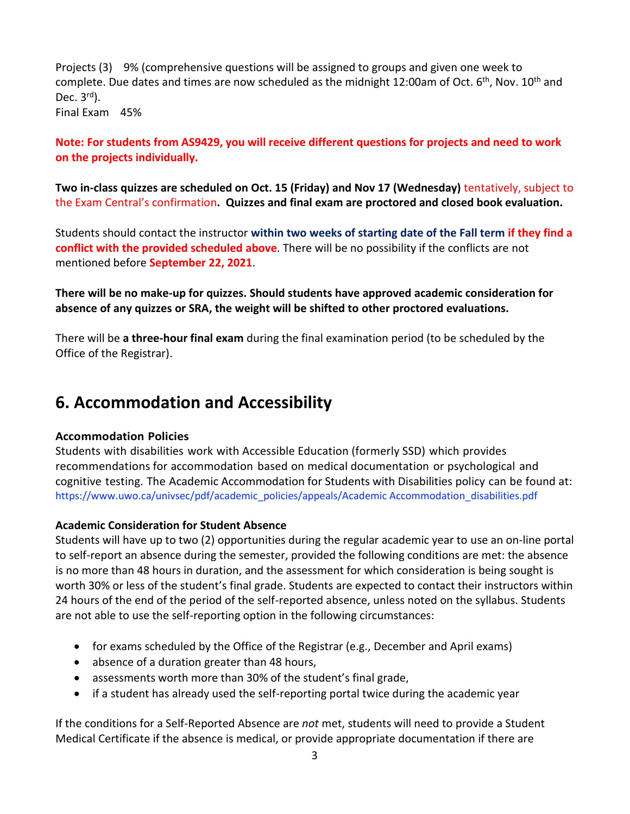Projects (3) 9% (comprehensive questions will be assigned to groups and given one week to complete. Due dates and times are now scheduled as the midnight 12:00am of Oct. 6<sup>th</sup>, Nov. 10<sup>th</sup> and Dec. 3<sup>rd</sup>). Final Exam 45%

#### **Note: For students from AS9429, you will receive different questions for projects and need to work on the projects individually.**

**Two in-class quizzes are scheduled on Oct. 15 (Friday) and Nov 17 (Wednesday)** tentatively, subject to the Exam Central's confirmation**. Quizzes and final exam are proctored and closed book evaluation.**

Students should contact the instructor **within two weeks of starting date of the Fall term if they find a conflict with the provided scheduled above**. There will be no possibility if the conflicts are not mentioned before **September 22, 2021**.

#### **There will be no make-up for quizzes. Should students have approved academic consideration for absence of any quizzes or SRA, the weight will be shifted to other proctored evaluations.**

There will be **a three-hour final exam** during the final examination period (to be scheduled by the Office of the Registrar).

## **6. Accommodation and Accessibility**

#### **Accommodation Policies**

Students with disabilities work with Accessible Education (formerly SSD) which provides recommendations for accommodation based on medical documentation or psychological and cognitive testing. The Academic Accommodation for Students with Disabilities policy can be found at: [https://www.uwo.ca/univsec/pdf/academic\\_policies/appeals/Academic Accommodation\\_disabilities.pdf](about:blank)

#### **Academic Consideration for Student Absence**

Students will have up to two (2) opportunities during the regular academic year to use an on-line portal to self-report an absence during the semester, provided the following conditions are met: the absence is no more than 48 hours in duration, and the assessment for which consideration is being sought is worth 30% or less of the student's final grade. Students are expected to contact their instructors within 24 hours of the end of the period of the self-reported absence, unless noted on the syllabus. Students are not able to use the self-reporting option in the following circumstances:

- for exams scheduled by the Office of the Registrar (e.g., December and April exams)
- absence of a duration greater than 48 hours,
- assessments worth more than 30% of the student's final grade,
- if a student has already used the self-reporting portal twice during the academic year

If the conditions for a Self-Reported Absence are *not* met, students will need to provide a Student Medical Certificate if the absence is medical, or provide appropriate documentation if there are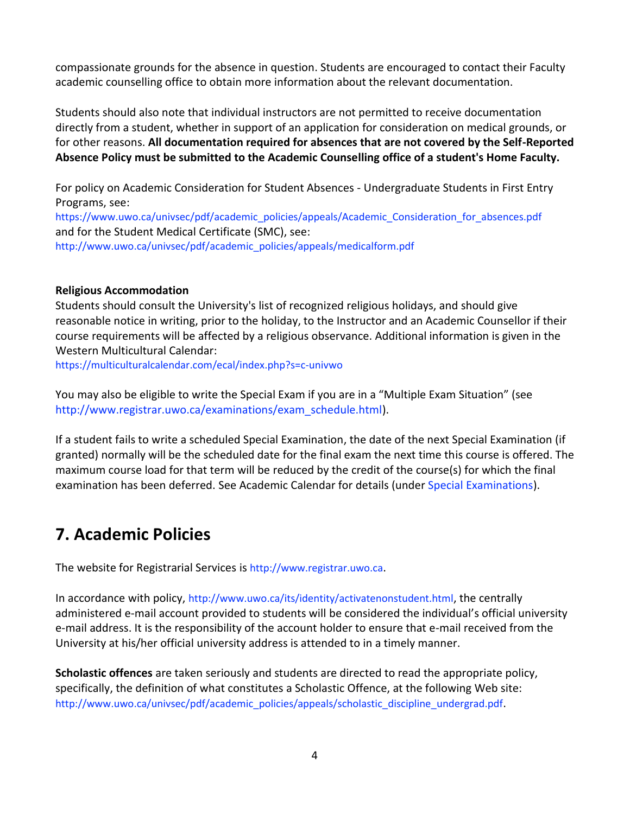compassionate grounds for the absence in question. Students are encouraged to contact their Faculty academic counselling office to obtain more information about the relevant documentation.

Students should also note that individual instructors are not permitted to receive documentation directly from a student, whether in support of an application for consideration on medical grounds, or for other reasons. **All documentation required for absences that are not covered by the Self-Reported Absence Policy must be submitted to the Academic Counselling office of a student's Home Faculty.**

For policy on Academic Consideration for Student Absences - Undergraduate Students in First Entry Programs, see:

[https://www.uwo.ca/univsec/pdf/academic\\_policies/appeals/Academic\\_Consideration\\_for\\_absences.pdf](about:blank) and for the Student Medical Certificate (SMC), see: [http://www.uwo.ca/univsec/pdf/academic\\_policies/appeals/medicalform.pdf](about:blank) 

#### **Religious Accommodation**

Students should consult the University's list of recognized religious holidays, and should give reasonable notice in writing, prior to the holiday, to the Instructor and an Academic Counsellor if their course requirements will be affected by a religious observance. Additional information is given in the Western Multicultural Calendar:

[https://multiculturalcalendar.com/ecal/index.php?s=c-univwo](about:blank) 

You may also be eligible to write the Special Exam if you are in a "Multiple Exam Situation" (see [http://www.registrar.uwo.ca/examinations/exam\\_schedule.html\)](about:blank).

If a student fails to write a scheduled Special Examination, the date of the next Special Examination (if granted) normally will be the scheduled date for the final exam the next time this course is offered. The maximum course load for that term will be reduced by the credit of the course(s) for which the final examination has been deferred. See Academic Calendar for details (under [Special Examinations\)](about:blank#SubHeading_70).

## **7. Academic Policies**

The website for Registrarial Services is [http://www.registrar.uwo.ca](about:blank).

In accordance with policy, [http://www.uwo.ca/its/identity/activatenonstudent.html](about:blank), the centrally administered e-mail account provided to students will be considered the individual's official university e-mail address. It is the responsibility of the account holder to ensure that e-mail received from the University at his/her official university address is attended to in a timely manner.

**Scholastic offences** are taken seriously and students are directed to read the appropriate policy, specifically, the definition of what constitutes a Scholastic Offence, at the following Web site: [http://www.uwo.ca/univsec/pdf/academic\\_policies/appeals/scholastic\\_discipline\\_undergrad.pdf](about:blank).